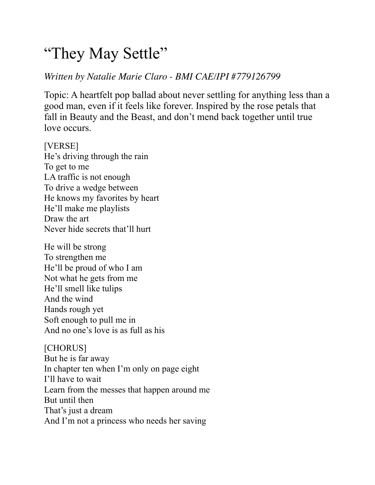## "They May Settle"

## *Written by Natalie Marie Claro - BMI CAE/IPI #779126799*

Topic: A heartfelt pop ballad about never settling for anything less than a good man, even if it feels like forever. Inspired by the rose petals that fall in Beauty and the Beast, and don't mend back together until true love occurs.

## [VERSE]

He's driving through the rain To get to me LA traffic is not enough To drive a wedge between He knows my favorites by heart He'll make me playlists Draw the art Never hide secrets that'll hurt

He will be strong To strengthen me He'll be proud of who I am Not what he gets from me He'll smell like tulips And the wind Hands rough yet Soft enough to pull me in And no one's love is as full as his

[CHORUS] But he is far away In chapter ten when I'm only on page eight I'll have to wait Learn from the messes that happen around me But until then That's just a dream And I'm not a princess who needs her saving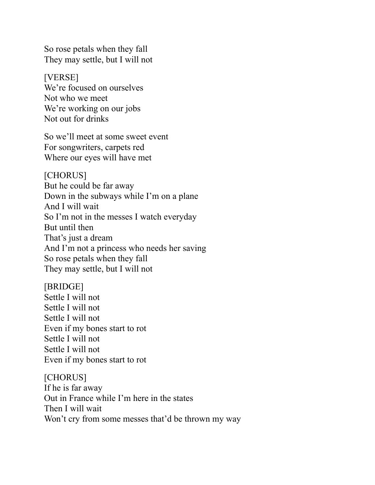So rose petals when they fall They may settle, but I will not

[VERSE] We're focused on ourselves Not who we meet We're working on our jobs Not out for drinks

So we'll meet at some sweet event For songwriters, carpets red Where our eyes will have met

[CHORUS] But he could be far away Down in the subways while I'm on a plane And I will wait So I'm not in the messes I watch everyday But until then That's just a dream And I'm not a princess who needs her saving So rose petals when they fall They may settle, but I will not

[BRIDGE] Settle I will not Settle I will not Settle I will not Even if my bones start to rot Settle I will not Settle I will not Even if my bones start to rot

[CHORUS] If he is far away Out in France while I'm here in the states Then I will wait Won't cry from some messes that'd be thrown my way